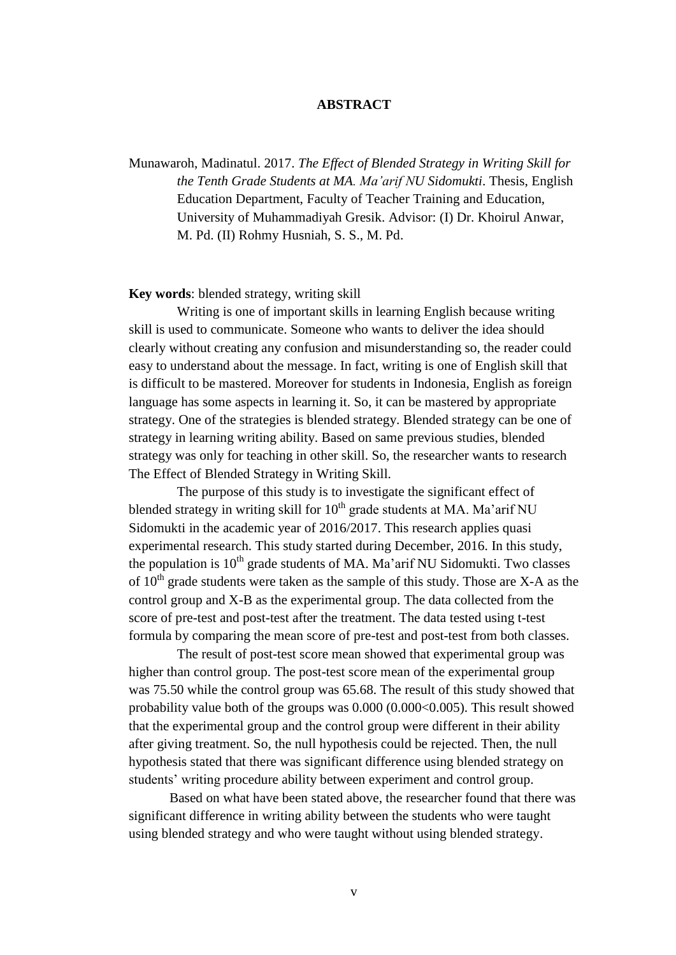## **ABSTRACT**

Munawaroh, Madinatul. 2017. *The Effect of Blended Strategy in Writing Skill for the Tenth Grade Students at MA. Ma'arif NU Sidomukti*. Thesis, English Education Department, Faculty of Teacher Training and Education, University of Muhammadiyah Gresik. Advisor: (I) Dr. Khoirul Anwar, M. Pd. (II) Rohmy Husniah, S. S., M. Pd.

## **Key words**: blended strategy, writing skill

Writing is one of important skills in learning English because writing skill is used to communicate. Someone who wants to deliver the idea should clearly without creating any confusion and misunderstanding so, the reader could easy to understand about the message. In fact, writing is one of English skill that is difficult to be mastered. Moreover for students in Indonesia, English as foreign language has some aspects in learning it. So, it can be mastered by appropriate strategy. One of the strategies is blended strategy. Blended strategy can be one of strategy in learning writing ability. Based on same previous studies, blended strategy was only for teaching in other skill. So, the researcher wants to research The Effect of Blended Strategy in Writing Skill.

The purpose of this study is to investigate the significant effect of blended strategy in writing skill for  $10<sup>th</sup>$  grade students at MA. Ma'arif NU Sidomukti in the academic year of 2016/2017. This research applies quasi experimental research. This study started during December, 2016. In this study, the population is  $10^{th}$  grade students of MA. Ma'arif NU Sidomukti. Two classes of  $10^{th}$  grade students were taken as the sample of this study. Those are X-A as the control group and X-B as the experimental group. The data collected from the score of pre-test and post-test after the treatment. The data tested using t-test formula by comparing the mean score of pre-test and post-test from both classes.

The result of post-test score mean showed that experimental group was higher than control group. The post-test score mean of the experimental group was 75.50 while the control group was 65.68. The result of this study showed that probability value both of the groups was 0.000 (0.000<0.005). This result showed that the experimental group and the control group were different in their ability after giving treatment. So, the null hypothesis could be rejected. Then, the null hypothesis stated that there was significant difference using blended strategy on students' writing procedure ability between experiment and control group.

Based on what have been stated above, the researcher found that there was significant difference in writing ability between the students who were taught using blended strategy and who were taught without using blended strategy.